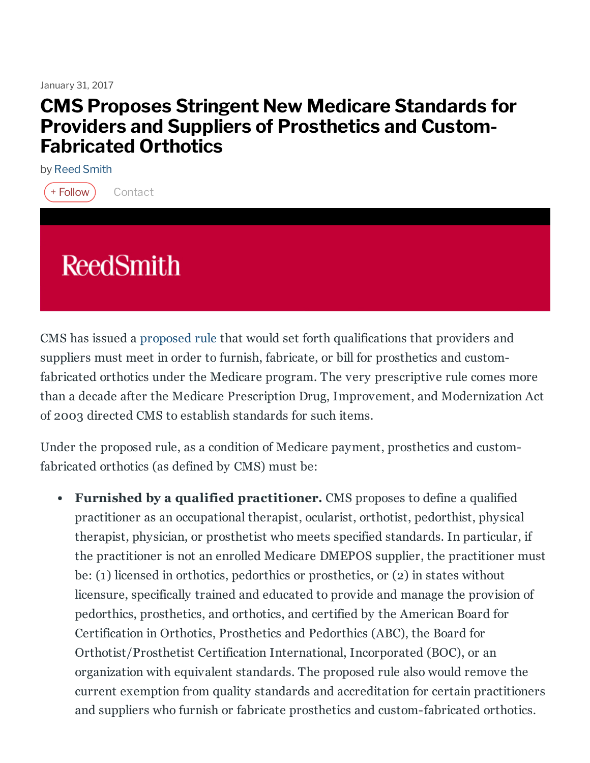January 31, 2017

# CMS Proposes Stringent New Medicare Standards for Providers and Suppliers of Prosthetics and Custom-Fabricated Orthotics

by Reed [Smith](https://www.jdsupra.com/profile/reed_smith_docs/)



# **ReedSmith**

CMS has issued a [proposed](https://www.federalregister.gov/documents/2017/01/12/2017-00425/medicare-program-establishment-of-special-payment-provisions-and-requirements-for-qualified) rule that would set forth qualifications that providers and suppliers must meet in order to furnish, fabricate, or bill for prosthetics and customfabricated orthotics under the Medicare program. The very prescriptive rule comes more than a decade after the Medicare Prescription Drug, Improvement, and Modernization Act of 2003 directed CMS to establish standards for such items.

Under the proposed rule, as a condition of Medicare payment, prosthetics and customfabricated orthotics (as defined by CMS) must be:

Furnished by a qualified practitioner. CMS proposes to define a qualified practitioner as an occupational therapist, ocularist, orthotist, pedorthist, physical therapist, physician, or prosthetist who meets specified standards. In particular, if the practitioner is not an enrolled Medicare DMEPOS supplier, the practitioner must be: (1) licensed in orthotics, pedorthics or prosthetics, or (2) in states without licensure, specifically trained and educated to provide and manage the provision of pedorthics, prosthetics, and orthotics, and certified by the American Board for Certification in Orthotics, Prosthetics and Pedorthics (ABC), the Board for Orthotist/Prosthetist Certification International, Incorporated (BOC), or an organization with equivalent standards. The proposed rule also would remove the current exemption from quality standards and accreditation for certain practitioners and suppliers who furnish or fabricate prosthetics and custom-fabricated orthotics.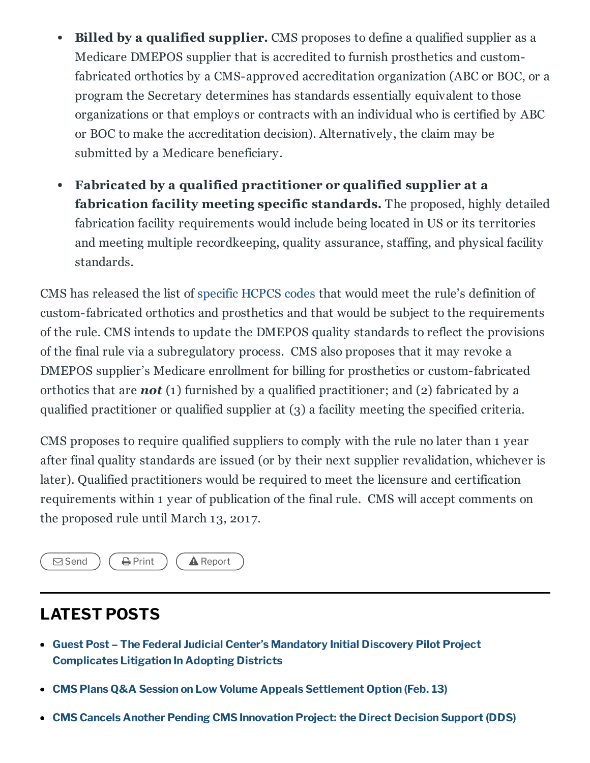- **Billed by a qualified supplier.** CMS proposes to define a qualified supplier as a  $\bullet$ Medicare DMEPOS supplier that is accredited to furnish prosthetics and customfabricated orthotics by a CMS-approved accreditation organization (ABC or BOC, or a program the Secretary determines has standards essentially equivalent to those organizations or that employs or contracts with an individual who is certified by ABC or BOC to make the accreditation decision). Alternatively, the claim may be submitted by a Medicare beneficiary.
- Fabricated by a qualified practitioner or qualified supplier at a fabrication facility meeting specific standards. The proposed, highly detailed fabrication facility requirements would include being located in US or its territories and meeting multiple recordkeeping, quality assurance, staffing, and physical facility standards.

CMS has released the list of [specific](https://www.cms.gov/Medicare/Provider-Enrollment-and-Certification/MedicareProviderSupEnroll/Downloads/CMS-6012-P_HCPCS_Code_List.pdf) HCPCS codes that would meet the rule's definition of custom-fabricated orthotics and prosthetics and that would be subject to the requirements of the rule. CMS intends to update the DMEPOS quality standards to reflect the provisions of the final rule via a subregulatory process. CMS also proposes that it may revoke a DMEPOS supplier's Medicare enrollment for billing for prosthetics or custom-fabricated orthotics that are *not* (1) furnished by a qualified practitioner; and (2) fabricated by a qualified practitioner or qualified supplier at (3) a facility meeting the specified criteria.

CMS proposes to require qualified suppliers to comply with the rule no later than 1 year after final quality standards are issued (or by their next supplier revalidation, whichever is later). Qualified practitioners would be required to meet the licensure and certification requirements within 1 year of publication of the final rule. CMS will accept comments on the proposed rule until March 13, 2017.



## LATEST POSTS

- Guest Post The Federal Judicial Center's Mandatory Initial Discovery Pilot Project [Complicates](https://www.jdsupra.com/legalnews/guest-post-the-federal-judicial-center-57085/) Litigation In Adopting Districts
- CMS Plans Q&A Session on Low Volume Appeals [Settlement](https://www.jdsupra.com/legalnews/cms-plans-q-a-session-on-low-volume-20023/) Option (Feb. 13)
- CMS Cancels Another Pending CMS [Innovation](https://www.jdsupra.com/legalnews/cms-cancels-another-pending-cms-26045/) Project: the Direct Decision Support (DDS)